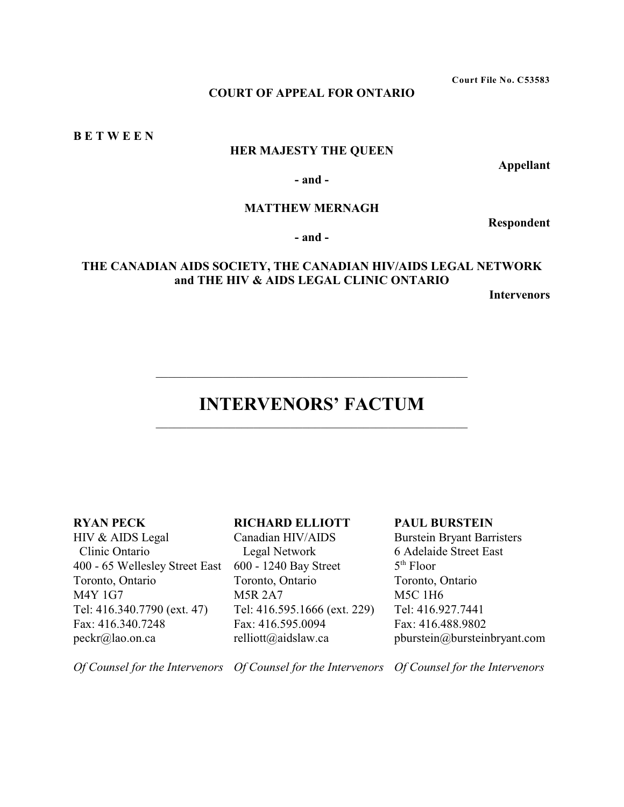**Court File No. C53583**

# **COURT OF APPEAL FOR ONTARIO**

**B E T W E E N** 

# **HER MAJESTY THE QUEEN**

**Appellant**

**- and -**

# **MATTHEW MERNAGH**

**Respondent**

**- and -**

# **THE CANADIAN AIDS SOCIETY, THE CANADIAN HIV/AIDS LEGAL NETWORK and THE HIV & AIDS LEGAL CLINIC ONTARIO**

**Intervenors**

# **INTERVENORS' FACTUM** \_\_\_\_\_\_\_\_\_\_\_\_\_\_\_\_\_\_\_\_\_\_\_\_\_\_\_\_\_\_\_\_\_\_\_\_\_\_\_\_\_\_\_\_\_\_\_\_\_\_\_

\_\_\_\_\_\_\_\_\_\_\_\_\_\_\_\_\_\_\_\_\_\_\_\_\_\_\_\_\_\_\_\_\_\_\_\_\_\_\_\_\_\_\_\_\_\_\_\_\_\_\_

## **RYAN PECK**

HIV & AIDS Legal Clinic Ontario 400 - 65 Wellesley Street East 600 - 1240 Bay Street Toronto, Ontario M4Y 1G7 Tel: 416.340.7790 (ext. 47) Fax: 416.340.7248 peckr@lao.on.ca

# **RICHARD ELLIOTT**

Canadian HIV/AIDS Legal Network Toronto, Ontario M5R 2A7 Tel: 416.595.1666 (ext. 229) Fax: 416.595.0094 relliott@aidslaw.ca

### **PAUL BURSTEIN**

Burstein Bryant Barristers 6 Adelaide Street East  $5<sup>th</sup>$  Floor Toronto, Ontario M5C 1H6 Tel: 416.927.7441 Fax: 416.488.9802 pburstein@bursteinbryant.com

*Of Counsel for the Intervenors Of Counsel for the Intervenors Of Counsel for the Intervenors*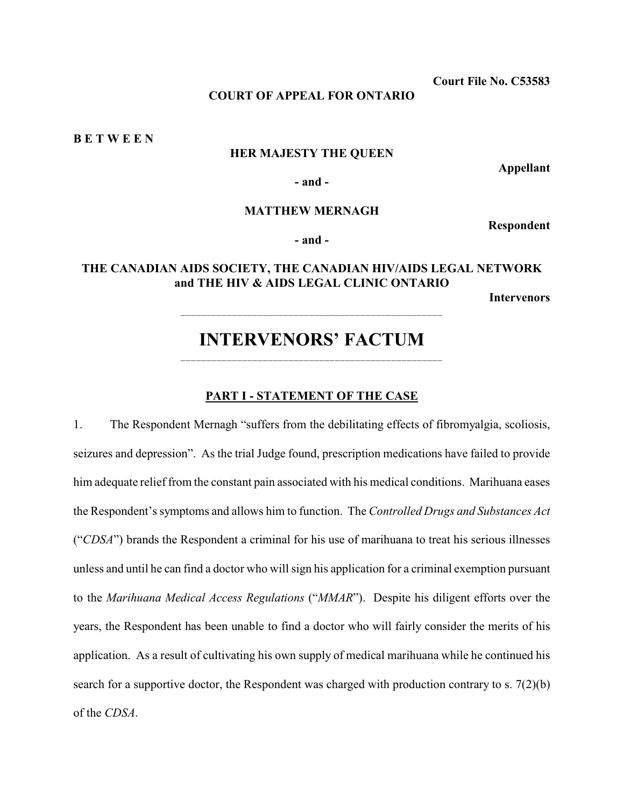**Court File No. C53583**

# **COURT OF APPEAL FOR ONTARIO**

**B E T W E E N** 

## **HER MAJESTY THE QUEEN**

**Appellant**

**- and -**

## **MATTHEW MERNAGH**

**Respondent**

**- and -**

# **THE CANADIAN AIDS SOCIETY, THE CANADIAN HIV/AIDS LEGAL NETWORK and THE HIV & AIDS LEGAL CLINIC ONTARIO**

**Intervenors**

# **INTERVENORS' FACTUM** \_\_\_\_\_\_\_\_\_\_\_\_\_\_\_\_\_\_\_\_\_\_\_\_\_\_\_\_\_\_\_\_\_\_\_\_\_\_\_\_\_\_\_\_\_\_\_\_\_\_\_

## **PART I - STATEMENT OF THE CASE**

1. The Respondent Mernagh "suffers from the debilitating effects of fibromyalgia, scoliosis, seizures and depression". As the trial Judge found, prescription medications have failed to provide him adequate relief from the constant pain associated with his medical conditions. Marihuana eases the Respondent's symptoms and allows him to function. The *Controlled Drugs and Substances Act* ("*CDSA*") brands the Respondent a criminal for his use of marihuana to treat his serious illnesses unless and until he can find a doctor who will sign his application for a criminal exemption pursuant to the *Marihuana Medical Access Regulations* ("*MMAR*"). Despite his diligent efforts over the years, the Respondent has been unable to find a doctor who will fairly consider the merits of his application. As a result of cultivating his own supply of medical marihuana while he continued his search for a supportive doctor, the Respondent was charged with production contrary to s. 7(2)(b) of the *CDSA*.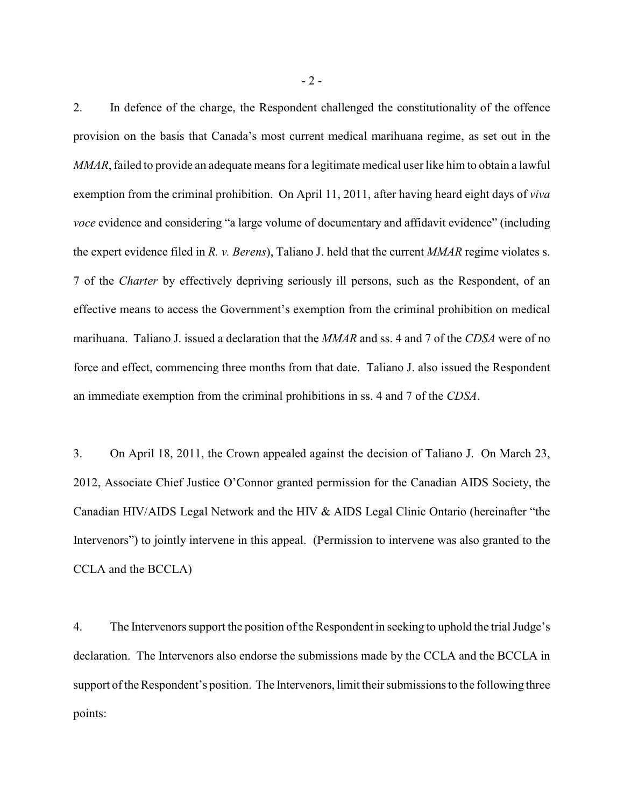2. In defence of the charge, the Respondent challenged the constitutionality of the offence provision on the basis that Canada's most current medical marihuana regime, as set out in the *MMAR*, failed to provide an adequate means for a legitimate medical user like him to obtain a lawful exemption from the criminal prohibition. On April 11, 2011, after having heard eight days of *viva voce* evidence and considering "a large volume of documentary and affidavit evidence" (including the expert evidence filed in *R. v. Berens*), Taliano J. held that the current *MMAR* regime violates s. 7 of the *Charter* by effectively depriving seriously ill persons, such as the Respondent, of an effective means to access the Government's exemption from the criminal prohibition on medical marihuana. Taliano J. issued a declaration that the *MMAR* and ss. 4 and 7 of the *CDSA* were of no force and effect, commencing three months from that date. Taliano J. also issued the Respondent an immediate exemption from the criminal prohibitions in ss. 4 and 7 of the *CDSA*.

3. On April 18, 2011, the Crown appealed against the decision of Taliano J. On March 23, 2012, Associate Chief Justice O'Connor granted permission for the Canadian AIDS Society, the Canadian HIV/AIDS Legal Network and the HIV & AIDS Legal Clinic Ontario (hereinafter "the Intervenors") to jointly intervene in this appeal. (Permission to intervene was also granted to the CCLA and the BCCLA)

4. The Intervenors support the position of the Respondent in seeking to uphold the trial Judge's declaration. The Intervenors also endorse the submissions made by the CCLA and the BCCLA in support of the Respondent's position. The Intervenors, limit their submissions to the following three points: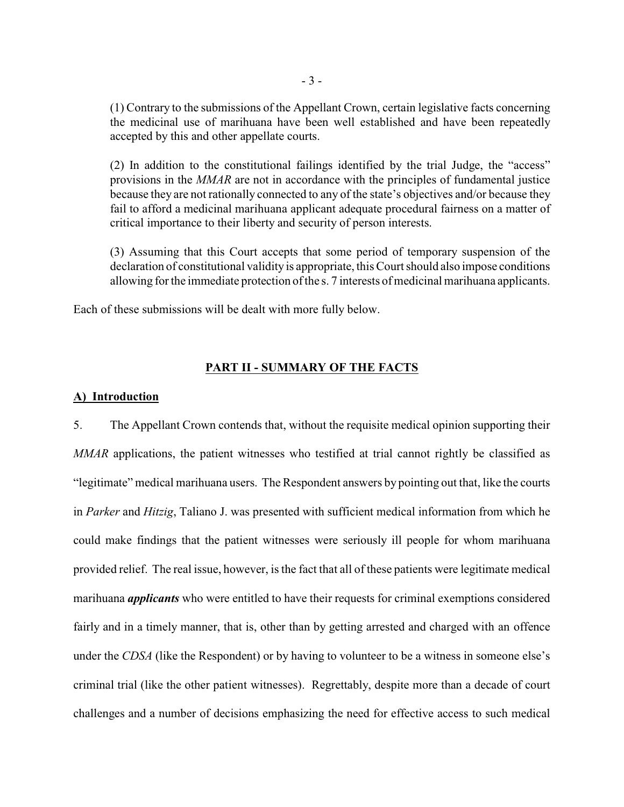(1) Contrary to the submissions of the Appellant Crown, certain legislative facts concerning the medicinal use of marihuana have been well established and have been repeatedly accepted by this and other appellate courts.

(2) In addition to the constitutional failings identified by the trial Judge, the "access" provisions in the *MMAR* are not in accordance with the principles of fundamental justice because they are not rationally connected to any of the state's objectives and/or because they fail to afford a medicinal marihuana applicant adequate procedural fairness on a matter of critical importance to their liberty and security of person interests.

(3) Assuming that this Court accepts that some period of temporary suspension of the declaration of constitutional validity is appropriate, this Court should also impose conditions allowing for the immediate protection of the s. 7 interests of medicinal marihuana applicants.

Each of these submissions will be dealt with more fully below.

### **PART II - SUMMARY OF THE FACTS**

### **A) Introduction**

5. The Appellant Crown contends that, without the requisite medical opinion supporting their *MMAR* applications, the patient witnesses who testified at trial cannot rightly be classified as "legitimate" medical marihuana users. The Respondent answers by pointing out that, like the courts in *Parker* and *Hitzig*, Taliano J. was presented with sufficient medical information from which he could make findings that the patient witnesses were seriously ill people for whom marihuana provided relief. The real issue, however, is the fact that all of these patients were legitimate medical marihuana *applicants* who were entitled to have their requests for criminal exemptions considered fairly and in a timely manner, that is, other than by getting arrested and charged with an offence under the *CDSA* (like the Respondent) or by having to volunteer to be a witness in someone else's criminal trial (like the other patient witnesses). Regrettably, despite more than a decade of court challenges and a number of decisions emphasizing the need for effective access to such medical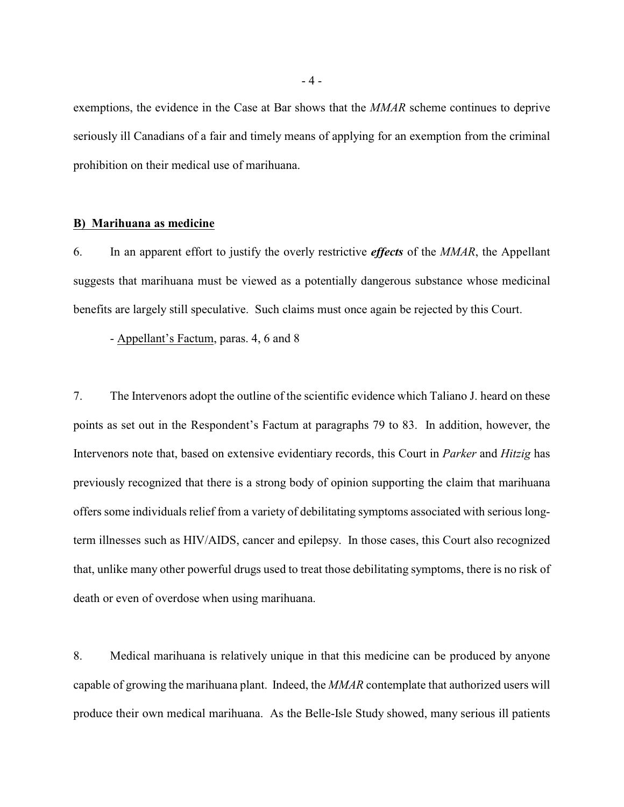exemptions, the evidence in the Case at Bar shows that the *MMAR* scheme continues to deprive seriously ill Canadians of a fair and timely means of applying for an exemption from the criminal prohibition on their medical use of marihuana.

#### **B) Marihuana as medicine**

6. In an apparent effort to justify the overly restrictive *effects* of the *MMAR*, the Appellant suggests that marihuana must be viewed as a potentially dangerous substance whose medicinal benefits are largely still speculative. Such claims must once again be rejected by this Court.

- Appellant's Factum, paras. 4, 6 and 8

7. The Intervenors adopt the outline of the scientific evidence which Taliano J. heard on these points as set out in the Respondent's Factum at paragraphs 79 to 83. In addition, however, the Intervenors note that, based on extensive evidentiary records, this Court in *Parker* and *Hitzig* has previously recognized that there is a strong body of opinion supporting the claim that marihuana offers some individuals relief from a variety of debilitating symptoms associated with serious longterm illnesses such as HIV/AIDS, cancer and epilepsy. In those cases, this Court also recognized that, unlike many other powerful drugs used to treat those debilitating symptoms, there is no risk of death or even of overdose when using marihuana.

8. Medical marihuana is relatively unique in that this medicine can be produced by anyone capable of growing the marihuana plant. Indeed, the *MMAR* contemplate that authorized users will produce their own medical marihuana. As the Belle-Isle Study showed, many serious ill patients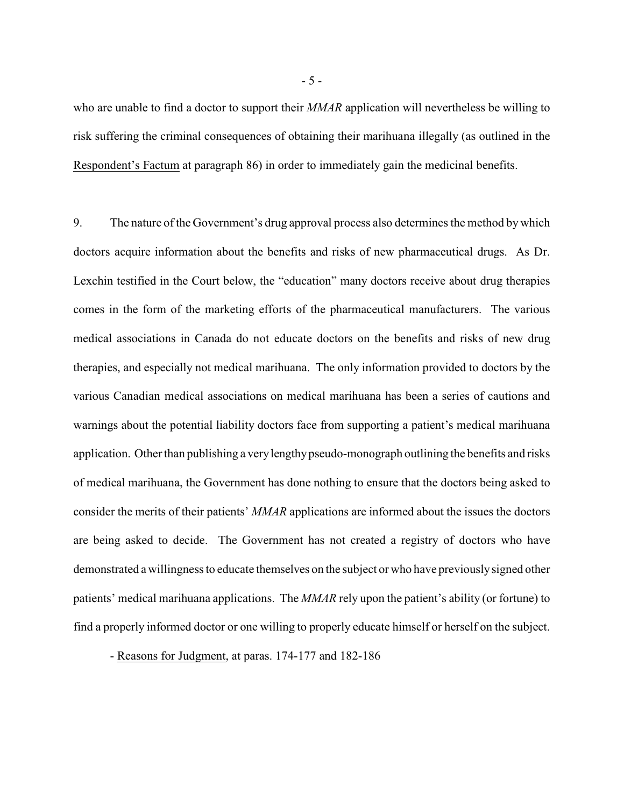who are unable to find a doctor to support their *MMAR* application will nevertheless be willing to risk suffering the criminal consequences of obtaining their marihuana illegally (as outlined in the Respondent's Factum at paragraph 86) in order to immediately gain the medicinal benefits.

9. The nature of the Government's drug approval process also determines the method by which doctors acquire information about the benefits and risks of new pharmaceutical drugs. As Dr. Lexchin testified in the Court below, the "education" many doctors receive about drug therapies comes in the form of the marketing efforts of the pharmaceutical manufacturers. The various medical associations in Canada do not educate doctors on the benefits and risks of new drug therapies, and especially not medical marihuana. The only information provided to doctors by the various Canadian medical associations on medical marihuana has been a series of cautions and warnings about the potential liability doctors face from supporting a patient's medical marihuana application. Other than publishing a very lengthy pseudo-monograph outlining the benefits and risks of medical marihuana, the Government has done nothing to ensure that the doctors being asked to consider the merits of their patients' *MMAR* applications are informed about the issues the doctors are being asked to decide. The Government has not created a registry of doctors who have demonstrated a willingness to educate themselves on the subject or who have previously signed other patients' medical marihuana applications. The *MMAR* rely upon the patient's ability (or fortune) to find a properly informed doctor or one willing to properly educate himself or herself on the subject.

- Reasons for Judgment, at paras. 174-177 and 182-186

- 5 -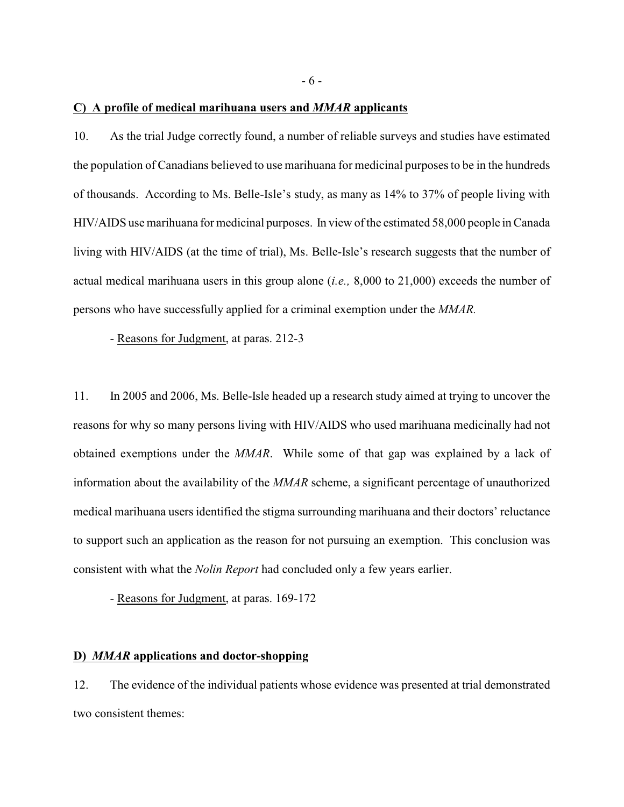**C) A profile of medical marihuana users and** *MMAR* **applicants**

10. As the trial Judge correctly found, a number of reliable surveys and studies have estimated the population of Canadians believed to use marihuana for medicinal purposes to be in the hundreds of thousands. According to Ms. Belle-Isle's study, as many as 14% to 37% of people living with HIV/AIDS use marihuana for medicinal purposes. In view of the estimated 58,000 people in Canada living with HIV/AIDS (at the time of trial), Ms. Belle-Isle's research suggests that the number of actual medical marihuana users in this group alone (*i.e.,* 8,000 to 21,000) exceeds the number of persons who have successfully applied for a criminal exemption under the *MMAR.*

- Reasons for Judgment, at paras. 212-3

11. In 2005 and 2006, Ms. Belle-Isle headed up a research study aimed at trying to uncover the reasons for why so many persons living with HIV/AIDS who used marihuana medicinally had not obtained exemptions under the *MMAR*. While some of that gap was explained by a lack of information about the availability of the *MMAR* scheme, a significant percentage of unauthorized medical marihuana users identified the stigma surrounding marihuana and their doctors' reluctance to support such an application as the reason for not pursuing an exemption. This conclusion was consistent with what the *Nolin Report* had concluded only a few years earlier.

- Reasons for Judgment, at paras. 169-172

## **D)** *MMAR* **applications and doctor-shopping**

12. The evidence of the individual patients whose evidence was presented at trial demonstrated two consistent themes: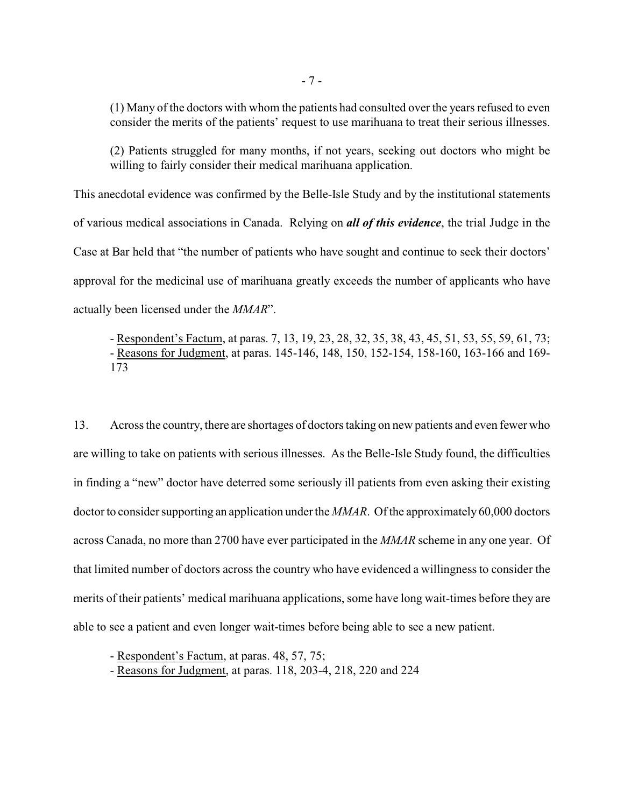(1) Many of the doctors with whom the patients had consulted over the years refused to even consider the merits of the patients' request to use marihuana to treat their serious illnesses.

(2) Patients struggled for many months, if not years, seeking out doctors who might be willing to fairly consider their medical marihuana application.

This anecdotal evidence was confirmed by the Belle-Isle Study and by the institutional statements of various medical associations in Canada. Relying on *all of this evidence*, the trial Judge in the Case at Bar held that "the number of patients who have sought and continue to seek their doctors' approval for the medicinal use of marihuana greatly exceeds the number of applicants who have actually been licensed under the *MMAR*".

- Respondent's Factum, at paras. 7, 13, 19, 23, 28, 32, 35, 38, 43, 45, 51, 53, 55, 59, 61, 73; - Reasons for Judgment, at paras. 145-146, 148, 150, 152-154, 158-160, 163-166 and 169- 173

13. Across the country, there are shortages of doctors taking on new patients and even fewer who are willing to take on patients with serious illnesses. As the Belle-Isle Study found, the difficulties in finding a "new" doctor have deterred some seriously ill patients from even asking their existing doctor to consider supporting an application under the *MMAR*. Of the approximately 60,000 doctors across Canada, no more than 2700 have ever participated in the *MMAR* scheme in any one year. Of that limited number of doctors across the country who have evidenced a willingness to consider the merits of their patients' medical marihuana applications, some have long wait-times before they are able to see a patient and even longer wait-times before being able to see a new patient.

- Respondent's Factum, at paras. 48, 57, 75;

- Reasons for Judgment, at paras. 118, 203-4, 218, 220 and 224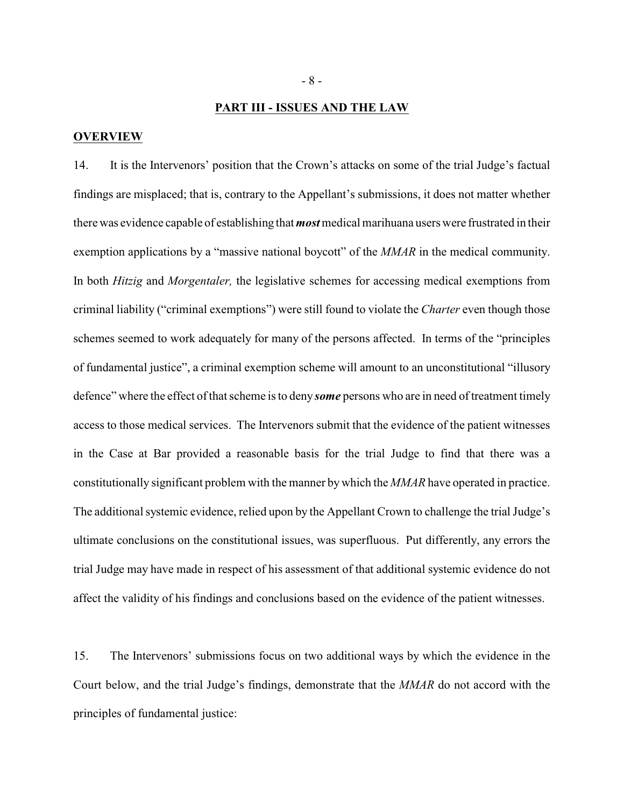#### **PART III - ISSUES AND THE LAW**

#### **OVERVIEW**

14. It is the Intervenors' position that the Crown's attacks on some of the trial Judge's factual findings are misplaced; that is, contrary to the Appellant's submissions, it does not matter whether there was evidence capable of establishing that *most* medical marihuana users were frustrated in their exemption applications by a "massive national boycott" of the *MMAR* in the medical community. In both *Hitzig* and *Morgentaler,* the legislative schemes for accessing medical exemptions from criminal liability ("criminal exemptions") were still found to violate the *Charter* even though those schemes seemed to work adequately for many of the persons affected. In terms of the "principles of fundamental justice", a criminal exemption scheme will amount to an unconstitutional "illusory defence" where the effect of that scheme is to deny *some* persons who are in need of treatment timely access to those medical services. The Intervenors submit that the evidence of the patient witnesses in the Case at Bar provided a reasonable basis for the trial Judge to find that there was a constitutionally significant problem with the manner by which the *MMAR* have operated in practice. The additional systemic evidence, relied upon by the Appellant Crown to challenge the trial Judge's ultimate conclusions on the constitutional issues, was superfluous. Put differently, any errors the trial Judge may have made in respect of his assessment of that additional systemic evidence do not affect the validity of his findings and conclusions based on the evidence of the patient witnesses.

15. The Intervenors' submissions focus on two additional ways by which the evidence in the Court below, and the trial Judge's findings, demonstrate that the *MMAR* do not accord with the principles of fundamental justice: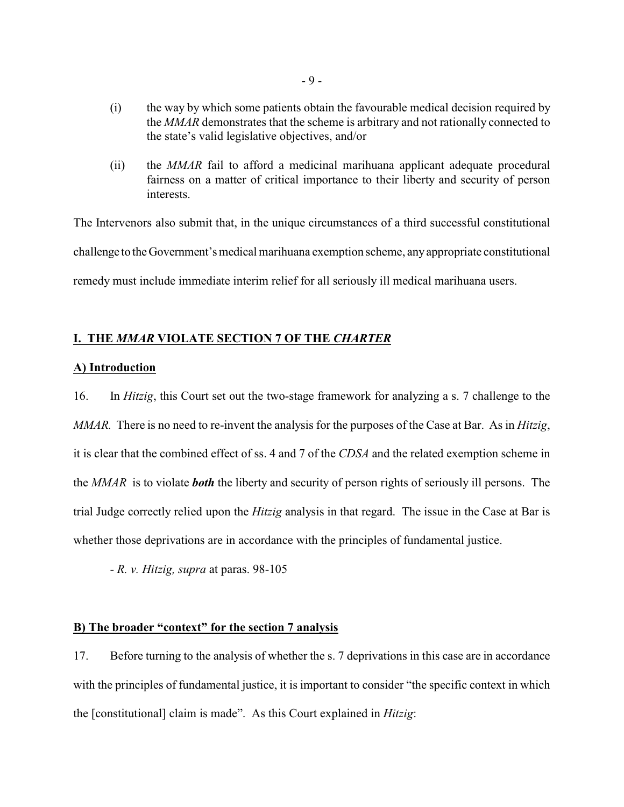- (i) the way by which some patients obtain the favourable medical decision required by the *MMAR* demonstrates that the scheme is arbitrary and not rationally connected to the state's valid legislative objectives, and/or
- (ii) the *MMAR* fail to afford a medicinal marihuana applicant adequate procedural fairness on a matter of critical importance to their liberty and security of person interests.

The Intervenors also submit that, in the unique circumstances of a third successful constitutional challenge to the Government's medical marihuana exemption scheme, any appropriate constitutional remedy must include immediate interim relief for all seriously ill medical marihuana users.

# **I. THE** *MMAR* **VIOLATE SECTION 7 OF THE** *CHARTER*

# **A) Introduction**

16. In *Hitzig*, this Court set out the two-stage framework for analyzing a s. 7 challenge to the *MMAR.* There is no need to re-invent the analysis for the purposes of the Case at Bar. As in *Hitzig*, it is clear that the combined effect of ss. 4 and 7 of the *CDSA* and the related exemption scheme in the *MMAR* is to violate *both* the liberty and security of person rights of seriously ill persons. The trial Judge correctly relied upon the *Hitzig* analysis in that regard. The issue in the Case at Bar is whether those deprivations are in accordance with the principles of fundamental justice.

- *R. v. Hitzig, supra* at paras. 98-105

# **B) The broader "context" for the section 7 analysis**

17. Before turning to the analysis of whether the s. 7 deprivations in this case are in accordance with the principles of fundamental justice, it is important to consider "the specific context in which the [constitutional] claim is made". As this Court explained in *Hitzig*: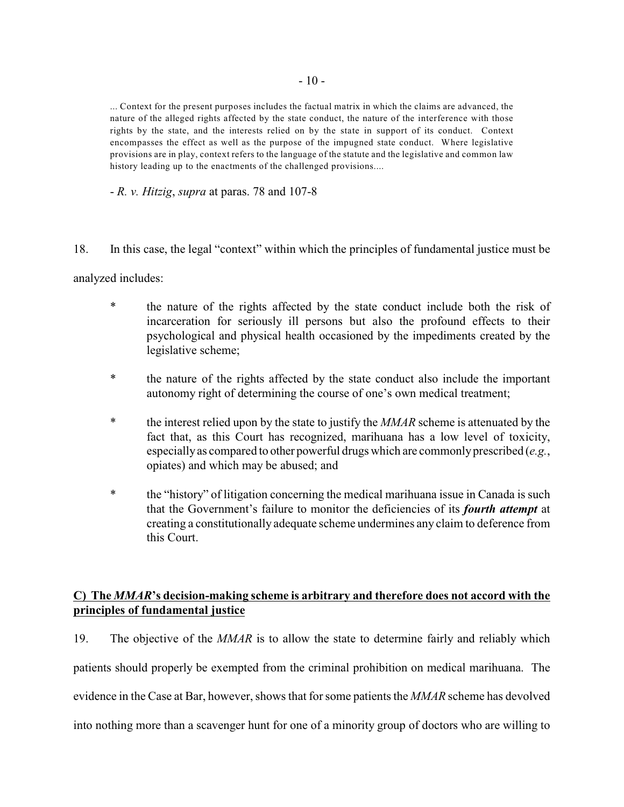... Context for the present purposes includes the factual matrix in which the claims are advanced, the nature of the alleged rights affected by the state conduct, the nature of the interference with those rights by the state, and the interests relied on by the state in support of its conduct. Context encompasses the effect as well as the purpose of the impugned state conduct. Where legislative provisions are in play, context refers to the language of the statute and the legislative and common law history leading up to the enactments of the challenged provisions....

- *R. v. Hitzig*, *supra* at paras. 78 and 107-8

18. In this case, the legal "context" within which the principles of fundamental justice must be

analyzed includes:

- \* the nature of the rights affected by the state conduct include both the risk of incarceration for seriously ill persons but also the profound effects to their psychological and physical health occasioned by the impediments created by the legislative scheme;
- \* the nature of the rights affected by the state conduct also include the important autonomy right of determining the course of one's own medical treatment;
- \* the interest relied upon by the state to justify the *MMAR* scheme is attenuated by the fact that, as this Court has recognized, marihuana has a low level of toxicity, especially as compared to other powerful drugs which are commonly prescribed (*e.g.*, opiates) and which may be abused; and
- \* the "history" of litigation concerning the medical marihuana issue in Canada is such that the Government's failure to monitor the deficiencies of its *fourth attempt* at creating a constitutionally adequate scheme undermines any claim to deference from this Court.

# **C) The** *MMAR***'s decision-making scheme is arbitrary and therefore does not accord with the principles of fundamental justice**

19. The objective of the *MMAR* is to allow the state to determine fairly and reliably which patients should properly be exempted from the criminal prohibition on medical marihuana. The evidence in the Case at Bar, however, shows that for some patients the *MMAR* scheme has devolved into nothing more than a scavenger hunt for one of a minority group of doctors who are willing to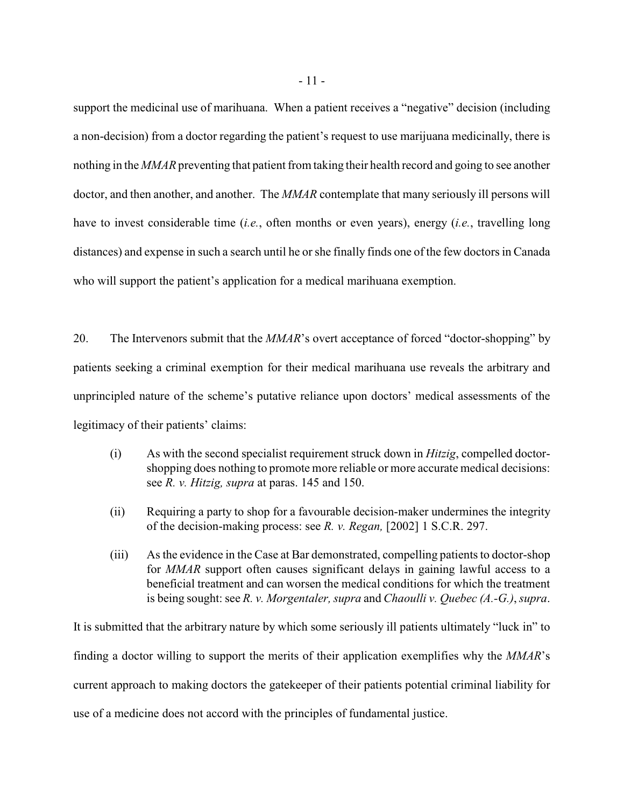support the medicinal use of marihuana. When a patient receives a "negative" decision (including a non-decision) from a doctor regarding the patient's request to use marijuana medicinally, there is nothing in the *MMAR* preventing that patient from taking their health record and going to see another doctor, and then another, and another. The *MMAR* contemplate that many seriously ill persons will have to invest considerable time (*i.e.*, often months or even years), energy (*i.e.*, travelling long distances) and expense in such a search until he or she finally finds one of the few doctors in Canada who will support the patient's application for a medical marihuana exemption.

20. The Intervenors submit that the *MMAR*'s overt acceptance of forced "doctor-shopping" by patients seeking a criminal exemption for their medical marihuana use reveals the arbitrary and unprincipled nature of the scheme's putative reliance upon doctors' medical assessments of the legitimacy of their patients' claims:

- (i) As with the second specialist requirement struck down in *Hitzig*, compelled doctorshopping does nothing to promote more reliable or more accurate medical decisions: see *R. v. Hitzig, supra* at paras. 145 and 150.
- (ii) Requiring a party to shop for a favourable decision-maker undermines the integrity of the decision-making process: see *R. v. Regan,* [2002] 1 S.C.R. 297.
- (iii) As the evidence in the Case at Bar demonstrated, compelling patients to doctor-shop for *MMAR* support often causes significant delays in gaining lawful access to a beneficial treatment and can worsen the medical conditions for which the treatment is being sought: see *R. v. Morgentaler, supra* and *Chaoulli v. Quebec (A.-G.)*, *supra*.

It is submitted that the arbitrary nature by which some seriously ill patients ultimately "luck in" to finding a doctor willing to support the merits of their application exemplifies why the *MMAR*'s current approach to making doctors the gatekeeper of their patients potential criminal liability for use of a medicine does not accord with the principles of fundamental justice.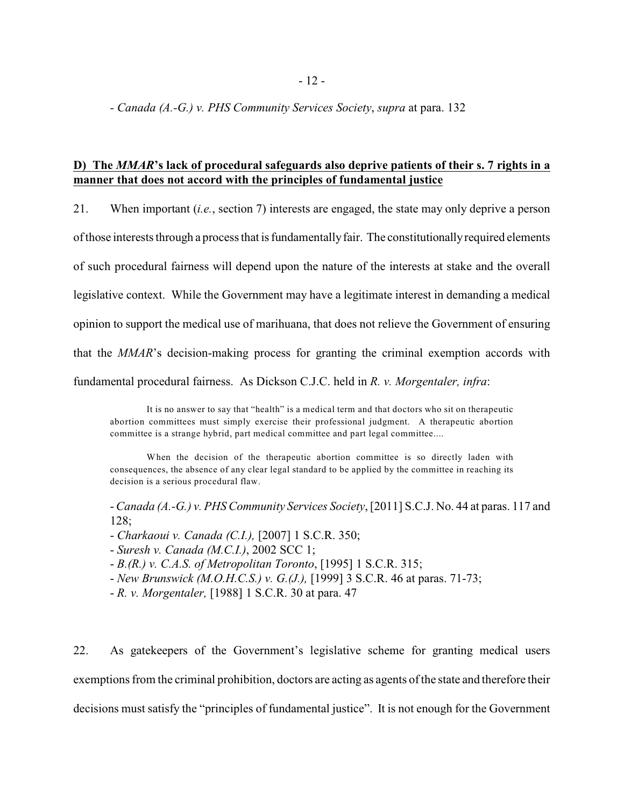*- Canada (A.-G.) v. PHS Community Services Society*, *supra* at para. 132

# **D) The** *MMAR***'s lack of procedural safeguards also deprive patients of their s. 7 rights in a manner that does not accord with the principles of fundamental justice**

21. When important (*i.e.*, section 7) interests are engaged, the state may only deprive a person

of those interests through a process that is fundamentally fair. The constitutionally required elements

of such procedural fairness will depend upon the nature of the interests at stake and the overall

legislative context. While the Government may have a legitimate interest in demanding a medical

opinion to support the medical use of marihuana, that does not relieve the Government of ensuring

that the *MMAR*'s decision-making process for granting the criminal exemption accords with

fundamental procedural fairness. As Dickson C.J.C. held in *R. v. Morgentaler, infra*:

It is no answer to say that "health" is a medical term and that doctors who sit on therapeutic abortion committees must simply exercise their professional judgment. A therapeutic abortion committee is a strange hybrid, part medical committee and part legal committee....

When the decision of the therapeutic abortion committee is so directly laden with consequences, the absence of any clear legal standard to be applied by the committee in reaching its decision is a serious procedural flaw.

- *Canada (A.-G.) v. PHS Community Services Society*, [2011] S.C.J. No. 44 at paras. 117 and 128;

- *Charkaoui v. Canada (C.I.),* [2007] 1 S.C.R. 350;

- *Suresh v. Canada (M.C.I.)*, 2002 SCC 1;

- *B.(R.) v. C.A.S. of Metropolitan Toronto*, [1995] 1 S.C.R. 315;

- *New Brunswick (M.O.H.C.S.) v. G.(J.),* [1999] 3 S.C.R. 46 at paras. 71-73;

- *R. v. Morgentaler,* [1988] 1 S.C.R. 30 at para. 47

22. As gatekeepers of the Government's legislative scheme for granting medical users exemptions from the criminal prohibition, doctors are acting as agents of the state and therefore their decisions must satisfy the "principles of fundamental justice". It is not enough for the Government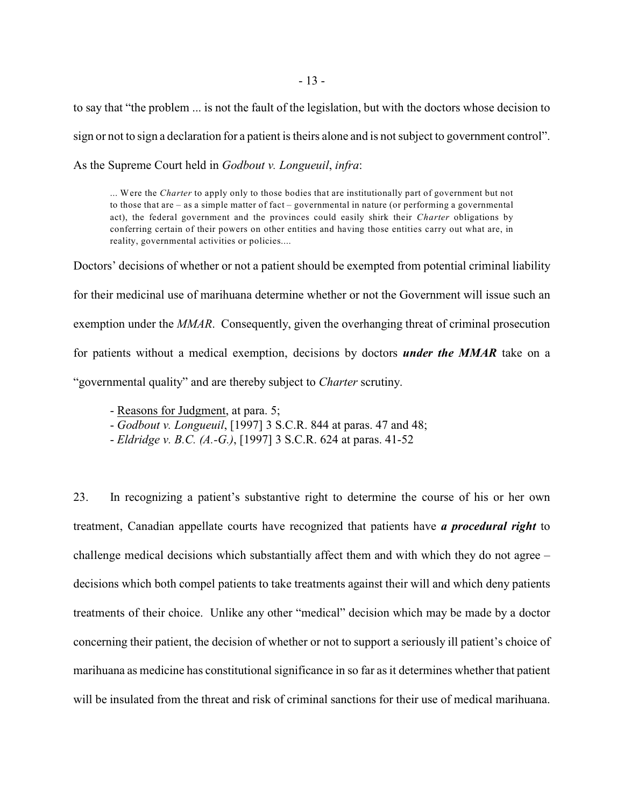to say that "the problem ... is not the fault of the legislation, but with the doctors whose decision to sign or not to sign a declaration for a patient is theirs alone and is not subject to government control". As the Supreme Court held in *Godbout v. Longueuil*, *infra*:

... Were the *Charter* to apply only to those bodies that are institutionally part of government but not to those that are – as a simple matter of fact – governmental in nature (or performing a governmental act), the federal government and the provinces could easily shirk their *Charter* obligations by conferring certain of their powers on other entities and having those entities carry out what are, in reality, governmental activities or policies....

Doctors' decisions of whether or not a patient should be exempted from potential criminal liability for their medicinal use of marihuana determine whether or not the Government will issue such an exemption under the *MMAR*. Consequently, given the overhanging threat of criminal prosecution for patients without a medical exemption, decisions by doctors *under the MMAR* take on a "governmental quality" and are thereby subject to *Charter* scrutiny.

- Reasons for Judgment, at para. 5;

- *Godbout v. Longueuil*, [1997] 3 S.C.R. 844 at paras. 47 and 48;

- *Eldridge v. B.C. (A.-G.)*, [1997] 3 S.C.R. 624 at paras. 41-52

23. In recognizing a patient's substantive right to determine the course of his or her own treatment, Canadian appellate courts have recognized that patients have *a procedural right* to challenge medical decisions which substantially affect them and with which they do not agree – decisions which both compel patients to take treatments against their will and which deny patients treatments of their choice. Unlike any other "medical" decision which may be made by a doctor concerning their patient, the decision of whether or not to support a seriously ill patient's choice of marihuana as medicine has constitutional significance in so far as it determines whether that patient will be insulated from the threat and risk of criminal sanctions for their use of medical marihuana.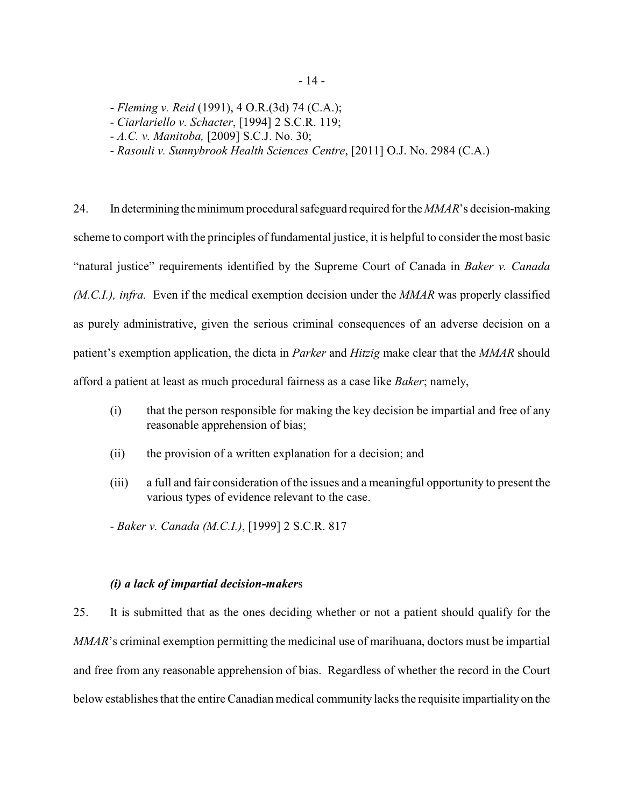- *Fleming v. Reid* (1991), 4 O.R.(3d) 74 (C.A.);
- *Ciarlariello v. Schacter*, [1994] 2 S.C.R. 119;
- *A.C. v. Manitoba,* [2009] S.C.J. No. 30;
- *Rasouli v. Sunnybrook Health Sciences Centre*, [2011] O.J. No. 2984 (C.A.)

24. In determining the minimum procedural safeguard required for the *MMAR*'s decision-making scheme to comport with the principles of fundamental justice, it is helpful to consider the most basic "natural justice" requirements identified by the Supreme Court of Canada in *Baker v. Canada (M.C.I.), infra.* Even if the medical exemption decision under the *MMAR* was properly classified as purely administrative, given the serious criminal consequences of an adverse decision on a patient's exemption application, the dicta in *Parker* and *Hitzig* make clear that the *MMAR* should afford a patient at least as much procedural fairness as a case like *Baker*; namely,

- (i) that the person responsible for making the key decision be impartial and free of any reasonable apprehension of bias;
- (ii) the provision of a written explanation for a decision; and
- (iii) a full and fair consideration of the issues and a meaningful opportunity to present the various types of evidence relevant to the case.

- *Baker v. Canada (M.C.I.)*, [1999] 2 S.C.R. 817

# *(i) a lack of impartial decision-maker*s

25. It is submitted that as the ones deciding whether or not a patient should qualify for the *MMAR*'s criminal exemption permitting the medicinal use of marihuana, doctors must be impartial and free from any reasonable apprehension of bias. Regardless of whether the record in the Court below establishes that the entire Canadian medical community lacks the requisite impartiality on the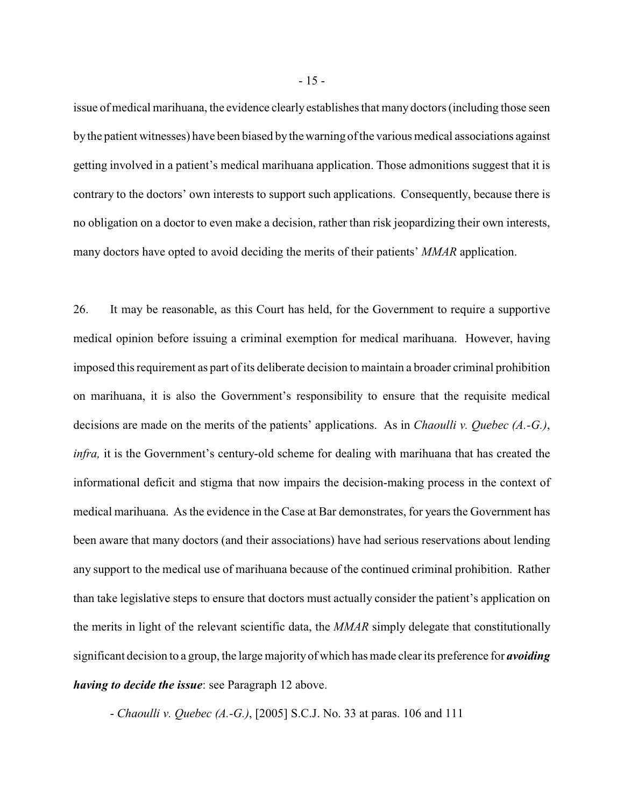issue of medical marihuana, the evidence clearly establishes that many doctors (including those seen by the patient witnesses) have been biased by the warning of the various medical associations against getting involved in a patient's medical marihuana application. Those admonitions suggest that it is contrary to the doctors' own interests to support such applications. Consequently, because there is no obligation on a doctor to even make a decision, rather than risk jeopardizing their own interests, many doctors have opted to avoid deciding the merits of their patients' *MMAR* application.

26. It may be reasonable, as this Court has held, for the Government to require a supportive medical opinion before issuing a criminal exemption for medical marihuana. However, having imposed this requirement as part of its deliberate decision to maintain a broader criminal prohibition on marihuana, it is also the Government's responsibility to ensure that the requisite medical decisions are made on the merits of the patients' applications. As in *Chaoulli v. Quebec (A.-G.)*, *infra,* it is the Government's century-old scheme for dealing with marihuana that has created the informational deficit and stigma that now impairs the decision-making process in the context of medical marihuana. As the evidence in the Case at Bar demonstrates, for years the Government has been aware that many doctors (and their associations) have had serious reservations about lending any support to the medical use of marihuana because of the continued criminal prohibition. Rather than take legislative steps to ensure that doctors must actually consider the patient's application on the merits in light of the relevant scientific data, the *MMAR* simply delegate that constitutionally significant decision to a group, the large majority of which has made clear its preference for *avoiding having to decide the issue*: see Paragraph 12 above.

- *Chaoulli v. Quebec (A.-G.)*, [2005] S.C.J. No. 33 at paras. 106 and 111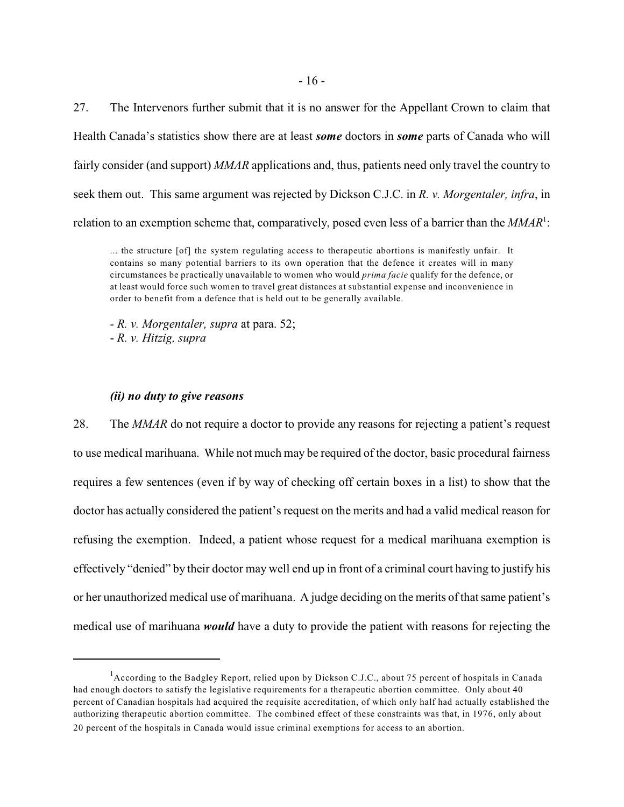27. The Intervenors further submit that it is no answer for the Appellant Crown to claim that Health Canada's statistics show there are at least *some* doctors in *some* parts of Canada who will fairly consider (and support) *MMAR* applications and, thus, patients need only travel the country to seek them out. This same argument was rejected by Dickson C.J.C. in *R. v. Morgentaler, infra*, in relation to an exemption scheme that, comparatively, posed even less of a barrier than the MMAR<sup>1</sup>:

... the structure [of] the system regulating access to therapeutic abortions is manifestly unfair. It contains so many potential barriers to its own operation that the defence it creates will in many circumstances be practically unavailable to women who would *prima facie* qualify for the defence, or at least would force such women to travel great distances at substantial expense and inconvenience in order to benefit from a defence that is held out to be generally available.

*- R. v. Morgentaler, supra* at para. 52; - *R. v. Hitzig, supra*

#### *(ii) no duty to give reasons*

28. The *MMAR* do not require a doctor to provide any reasons for rejecting a patient's request to use medical marihuana. While not much may be required of the doctor, basic procedural fairness requires a few sentences (even if by way of checking off certain boxes in a list) to show that the doctor has actually considered the patient's request on the merits and had a valid medical reason for refusing the exemption. Indeed, a patient whose request for a medical marihuana exemption is effectively "denied" by their doctor may well end up in front of a criminal court having to justify his or her unauthorized medical use of marihuana. A judge deciding on the merits of that same patient's medical use of marihuana *would* have a duty to provide the patient with reasons for rejecting the

 $^{1}$ According to the Badgley Report, relied upon by Dickson C.J.C., about 75 percent of hospitals in Canada had enough doctors to satisfy the legislative requirements for a therapeutic abortion committee. Only about 40 percent of Canadian hospitals had acquired the requisite accreditation, of which only half had actually established the authorizing therapeutic abortion committee. The combined effect of these constraints was that, in 1976, only about 20 percent of the hospitals in Canada would issue criminal exemptions for access to an abortion.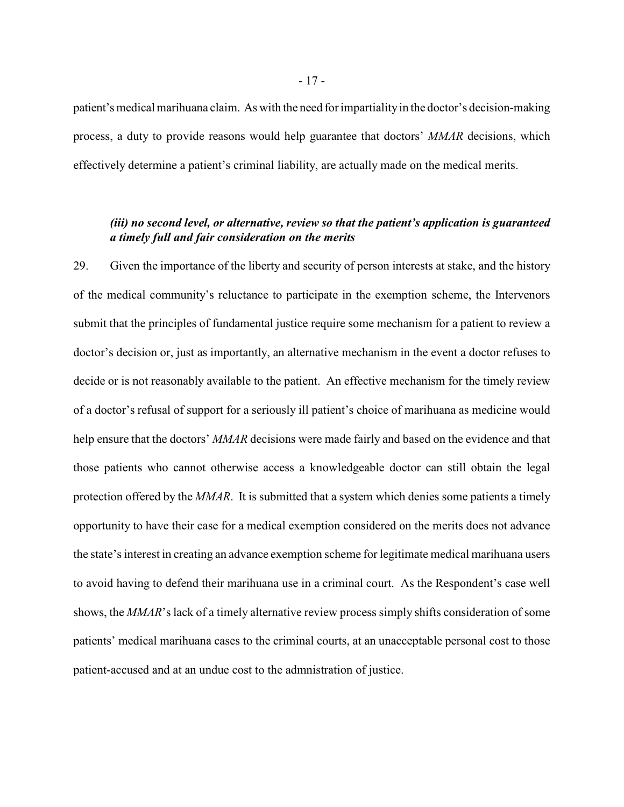patient's medical marihuana claim. As with the need for impartiality in the doctor's decision-making process, a duty to provide reasons would help guarantee that doctors' *MMAR* decisions, which effectively determine a patient's criminal liability, are actually made on the medical merits.

# *(iii) no second level, or alternative, review so that the patient's application is guaranteed a timely full and fair consideration on the merits*

29. Given the importance of the liberty and security of person interests at stake, and the history of the medical community's reluctance to participate in the exemption scheme, the Intervenors submit that the principles of fundamental justice require some mechanism for a patient to review a doctor's decision or, just as importantly, an alternative mechanism in the event a doctor refuses to decide or is not reasonably available to the patient. An effective mechanism for the timely review of a doctor's refusal of support for a seriously ill patient's choice of marihuana as medicine would help ensure that the doctors' *MMAR* decisions were made fairly and based on the evidence and that those patients who cannot otherwise access a knowledgeable doctor can still obtain the legal protection offered by the *MMAR*. It is submitted that a system which denies some patients a timely opportunity to have their case for a medical exemption considered on the merits does not advance the state's interest in creating an advance exemption scheme for legitimate medical marihuana users to avoid having to defend their marihuana use in a criminal court. As the Respondent's case well shows, the *MMAR*'s lack of a timely alternative review process simply shifts consideration of some patients' medical marihuana cases to the criminal courts, at an unacceptable personal cost to those patient-accused and at an undue cost to the admnistration of justice.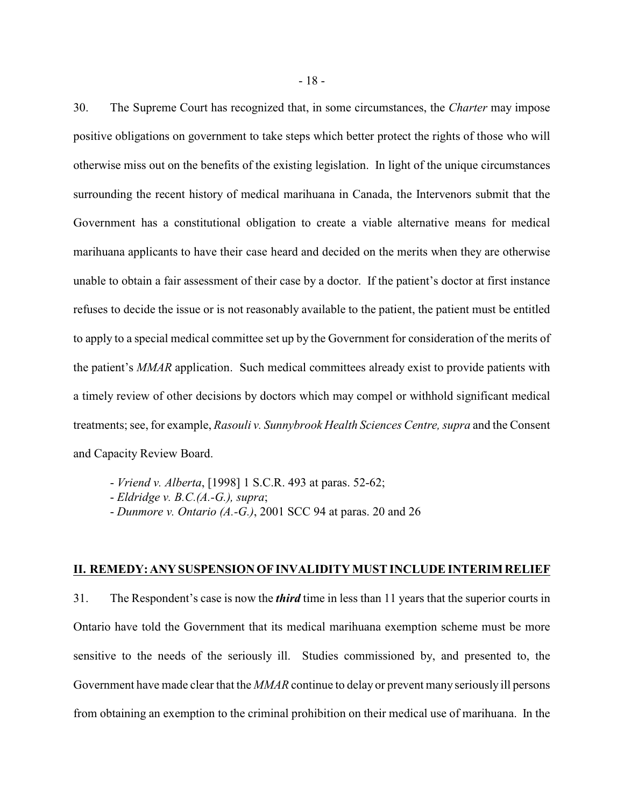30. The Supreme Court has recognized that, in some circumstances, the *Charter* may impose positive obligations on government to take steps which better protect the rights of those who will otherwise miss out on the benefits of the existing legislation. In light of the unique circumstances surrounding the recent history of medical marihuana in Canada, the Intervenors submit that the Government has a constitutional obligation to create a viable alternative means for medical marihuana applicants to have their case heard and decided on the merits when they are otherwise unable to obtain a fair assessment of their case by a doctor. If the patient's doctor at first instance refuses to decide the issue or is not reasonably available to the patient, the patient must be entitled to apply to a special medical committee set up by the Government for consideration of the merits of the patient's *MMAR* application. Such medical committees already exist to provide patients with a timely review of other decisions by doctors which may compel or withhold significant medical treatments; see, for example, *Rasouli v. Sunnybrook Health Sciences Centre, supra* and the Consent and Capacity Review Board.

- *Vriend v. Alberta*, [1998] 1 S.C.R. 493 at paras. 52-62;
- *Eldridge v. B.C.(A.-G.), supra*;
- *Dunmore v. Ontario (A.-G.)*, 2001 SCC 94 at paras. 20 and 26

#### **II. REMEDY:ANY SUSPENSIONOF INVALIDITY MUST INCLUDE INTERIM RELIEF**

31. The Respondent's case is now the *third* time in less than 11 years that the superior courts in Ontario have told the Government that its medical marihuana exemption scheme must be more sensitive to the needs of the seriously ill. Studies commissioned by, and presented to, the Government have made clear that the *MMAR* continue to delay or prevent many seriously ill persons from obtaining an exemption to the criminal prohibition on their medical use of marihuana. In the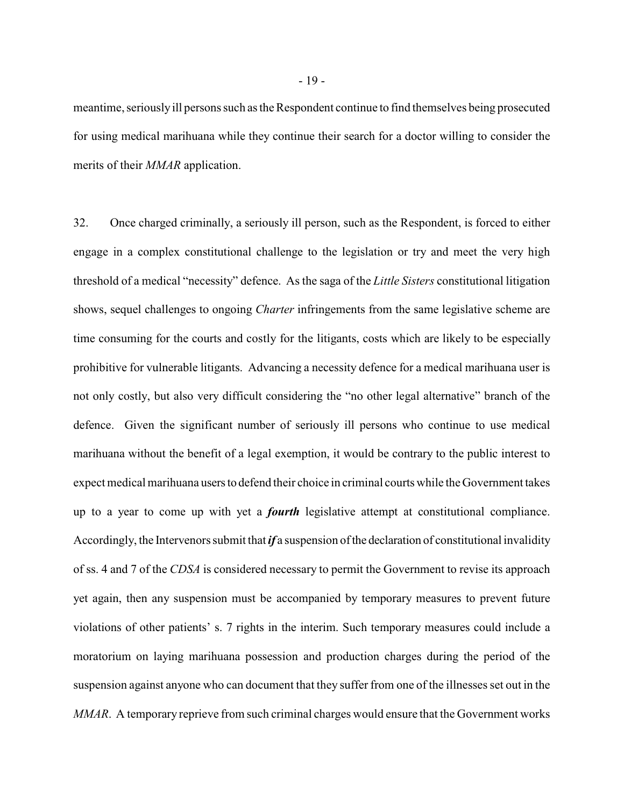meantime, seriously ill persons such as the Respondent continue to find themselves being prosecuted for using medical marihuana while they continue their search for a doctor willing to consider the merits of their *MMAR* application.

32. Once charged criminally, a seriously ill person, such as the Respondent, is forced to either engage in a complex constitutional challenge to the legislation or try and meet the very high threshold of a medical "necessity" defence. As the saga of the *Little Sisters* constitutional litigation shows, sequel challenges to ongoing *Charter* infringements from the same legislative scheme are time consuming for the courts and costly for the litigants, costs which are likely to be especially prohibitive for vulnerable litigants. Advancing a necessity defence for a medical marihuana user is not only costly, but also very difficult considering the "no other legal alternative" branch of the defence. Given the significant number of seriously ill persons who continue to use medical marihuana without the benefit of a legal exemption, it would be contrary to the public interest to expect medical marihuana users to defend their choice in criminal courts while the Government takes up to a year to come up with yet a *fourth* legislative attempt at constitutional compliance. Accordingly, the Intervenors submit that *if* a suspension of the declaration of constitutional invalidity of ss. 4 and 7 of the *CDSA* is considered necessary to permit the Government to revise its approach yet again, then any suspension must be accompanied by temporary measures to prevent future violations of other patients' s. 7 rights in the interim. Such temporary measures could include a moratorium on laying marihuana possession and production charges during the period of the suspension against anyone who can document that they suffer from one of the illnesses set out in the *MMAR*. A temporary reprieve from such criminal charges would ensure that the Government works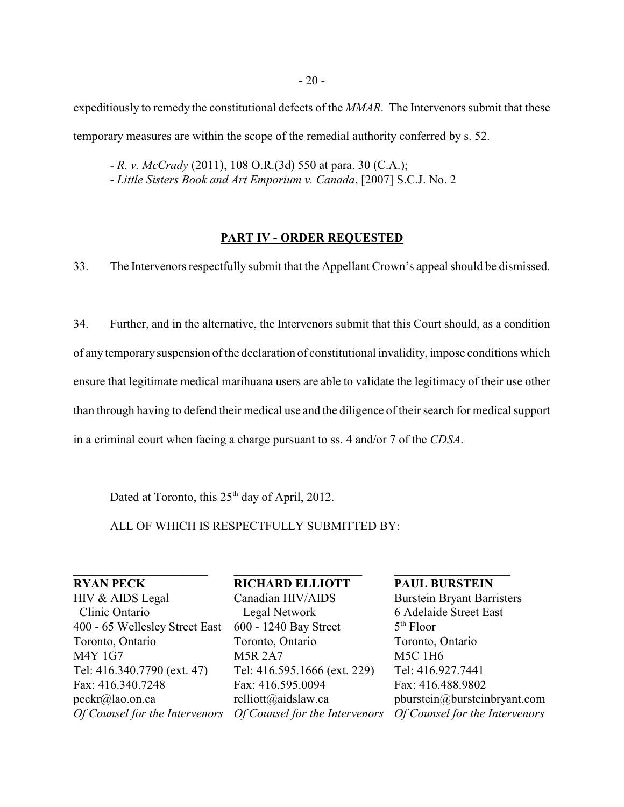expeditiously to remedy the constitutional defects of the *MMAR*. The Intervenors submit that these temporary measures are within the scope of the remedial authority conferred by s. 52.

- *R. v. McCrady* (2011), 108 O.R.(3d) 550 at para. 30 (C.A.); - *Little Sisters Book and Art Emporium v. Canada*, [2007] S.C.J. No. 2

## **PART IV - ORDER REQUESTED**

33. The Intervenors respectfully submit that the Appellant Crown's appeal should be dismissed.

34. Further, and in the alternative, the Intervenors submit that this Court should, as a condition of any temporary suspension of the declaration of constitutional invalidity, impose conditions which ensure that legitimate medical marihuana users are able to validate the legitimacy of their use other than through having to defend their medical use and the diligence of their search for medical support in a criminal court when facing a charge pursuant to ss. 4 and/or 7 of the *CDSA*.

Dated at Toronto, this  $25<sup>th</sup>$  day of April, 2012.

ALL OF WHICH IS RESPECTFULLY SUBMITTED BY:

**RYAN PECK** HIV & AIDS Legal Clinic Ontario 400 - 65 Wellesley Street East Toronto, Ontario M4Y 1G7 Tel: 416.340.7790 (ext. 47) Fax: 416.340.7248 peckr@lao.on.ca

**\_\_\_\_\_\_\_\_\_\_\_\_\_\_\_\_\_\_\_\_\_\_**

*Of Counsel for the Intervenors Of Counsel for the Intervenors Of Counsel for the Intervenors***RICHARD ELLIOTT** Canadian HIV/AIDS Legal Network 600 - 1240 Bay Street Toronto, Ontario M5R 2A7 Tel: 416.595.1666 (ext. 229) Fax: 416.595.0094 relliott@aidslaw.ca

**\_\_\_\_\_\_\_\_\_\_\_\_\_\_\_\_\_\_\_\_\_**

**PAUL BURSTEIN** Burstein Bryant Barristers 6 Adelaide Street East  $5<sup>th</sup>$  Floor Toronto, Ontario M5C 1H6 Tel: 416.927.7441 Fax: 416.488.9802 pburstein@bursteinbryant.com

**\_\_\_\_\_\_\_\_\_\_\_\_\_\_\_\_\_\_\_**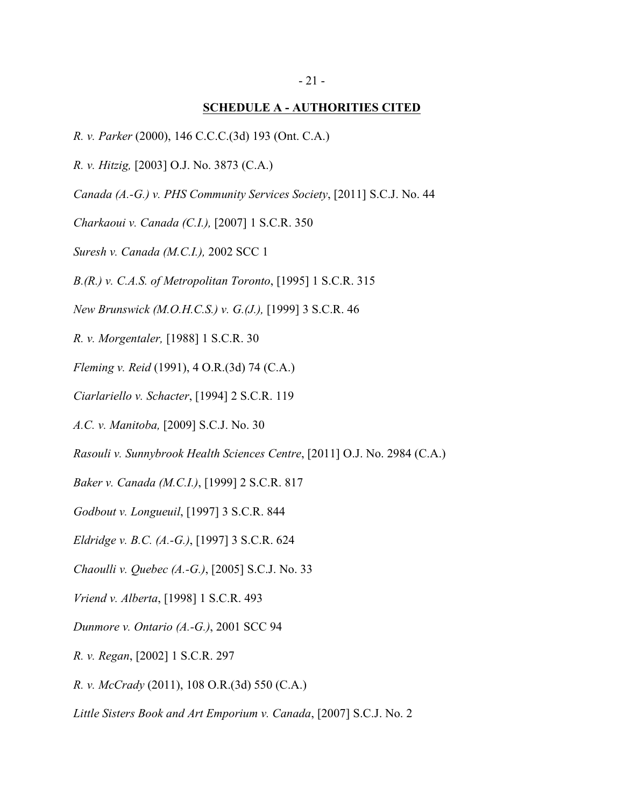# **SCHEDULE A - AUTHORITIES CITED**

- *R. v. Parker* (2000), 146 C.C.C.(3d) 193 (Ont. C.A.)
- *R. v. Hitzig,* [2003] O.J. No. 3873 (C.A.)
- *Canada (A.-G.) v. PHS Community Services Society*, [2011] S.C.J. No. 44
- *Charkaoui v. Canada (C.I.),* [2007] 1 S.C.R. 350
- *Suresh v. Canada (M.C.I.),* 2002 SCC 1
- *B.(R.) v. C.A.S. of Metropolitan Toronto*, [1995] 1 S.C.R. 315
- *New Brunswick (M.O.H.C.S.) v. G.(J.),* [1999] 3 S.C.R. 46
- *R. v. Morgentaler,* [1988] 1 S.C.R. 30
- *Fleming v. Reid* (1991), 4 O.R.(3d) 74 (C.A.)
- *Ciarlariello v. Schacter*, [1994] 2 S.C.R. 119
- *A.C. v. Manitoba,* [2009] S.C.J. No. 30
- *Rasouli v. Sunnybrook Health Sciences Centre*, [2011] O.J. No. 2984 (C.A.)
- *Baker v. Canada (M.C.I.)*, [1999] 2 S.C.R. 817
- *Godbout v. Longueuil*, [1997] 3 S.C.R. 844
- *Eldridge v. B.C. (A.-G.)*, [1997] 3 S.C.R. 624
- *Chaoulli v. Quebec (A.-G.)*, [2005] S.C.J. No. 33
- *Vriend v. Alberta*, [1998] 1 S.C.R. 493
- *Dunmore v. Ontario (A.-G.)*, 2001 SCC 94
- *R. v. Regan*, [2002] 1 S.C.R. 297
- *R. v. McCrady* (2011), 108 O.R.(3d) 550 (C.A.)
- *Little Sisters Book and Art Emporium v. Canada*, [2007] S.C.J. No. 2